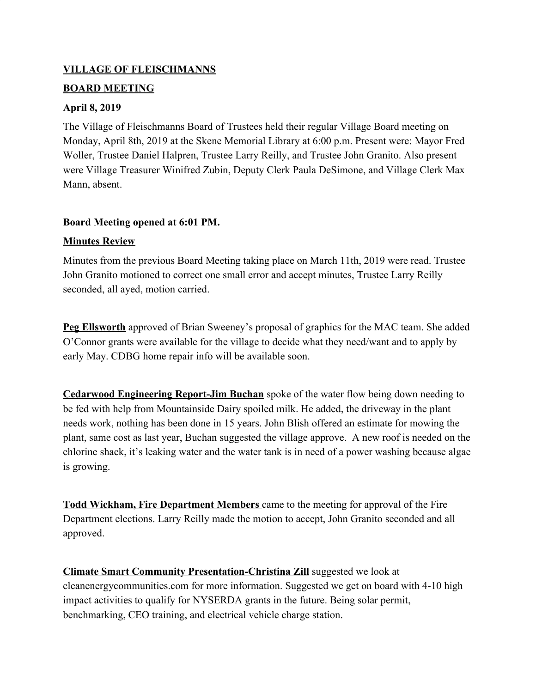### **VILLAGE OF FLEISCHMANNS**

### **BOARD MEETING**

### **April 8, 2019**

The Village of Fleischmanns Board of Trustees held their regular Village Board meeting on Monday, April 8th, 2019 at the Skene Memorial Library at 6:00 p.m. Present were: Mayor Fred Woller, Trustee Daniel Halpren, Trustee Larry Reilly, and Trustee John Granito. Also present were Village Treasurer Winifred Zubin, Deputy Clerk Paula DeSimone, and Village Clerk Max Mann, absent.

### **Board Meeting opened at 6:01 PM.**

## **Minutes Review**

Minutes from the previous Board Meeting taking place on March 11th, 2019 were read. Trustee John Granito motioned to correct one small error and accept minutes, Trustee Larry Reilly seconded, all ayed, motion carried.

**Peg Ellsworth** approved of Brian Sweeney's proposal of graphics for the MAC team. She added O'Connor grants were available for the village to decide what they need/want and to apply by early May. CDBG home repair info will be available soon.

**Cedarwood Engineering Report-Jim Buchan** spoke of the water flow being down needing to be fed with help from Mountainside Dairy spoiled milk. He added, the driveway in the plant needs work, nothing has been done in 15 years. John Blish offered an estimate for mowing the plant, same cost as last year, Buchan suggested the village approve. A new roof is needed on the chlorine shack, it's leaking water and the water tank is in need of a power washing because algae is growing.

**Todd Wickham, Fire Department Members** came to the meeting for approval of the Fire Department elections. Larry Reilly made the motion to accept, John Granito seconded and all approved.

**Climate Smart Community Presentation-Christina Zill** suggested we look at cleanenergycommunities.com for more information. Suggested we get on board with 4-10 high impact activities to qualify for NYSERDA grants in the future. Being solar permit, benchmarking, CEO training, and electrical vehicle charge station.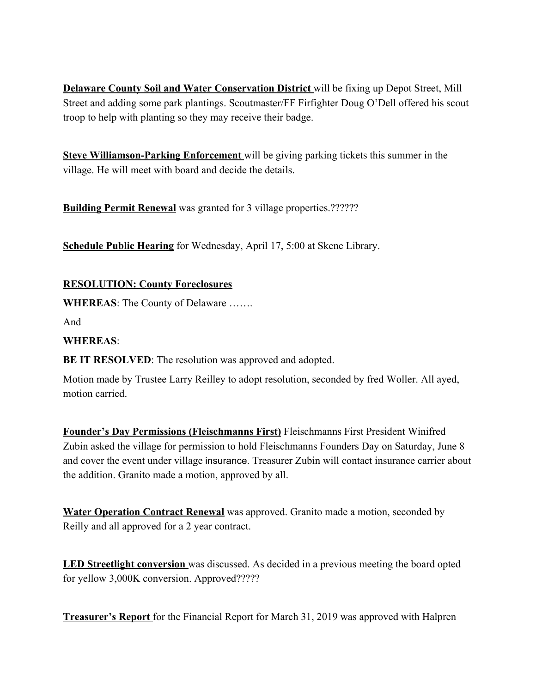**Delaware County Soil and Water Conservation District** will be fixing up Depot Street, Mill Street and adding some park plantings. Scoutmaster/FF Firfighter Doug O'Dell offered his scout troop to help with planting so they may receive their badge.

**Steve Williamson-Parking Enforcement** will be giving parking tickets this summer in the village. He will meet with board and decide the details.

**Building Permit Renewal** was granted for 3 village properties.???????

**Schedule Public Hearing** for Wednesday, April 17, 5:00 at Skene Library.

# **RESOLUTION: County Foreclosures**

**WHEREAS**: The County of Delaware …….

And

## **WHEREAS**:

**BE IT RESOLVED**: The resolution was approved and adopted.

Motion made by Trustee Larry Reilley to adopt resolution, seconded by fred Woller. All ayed, motion carried.

**Founder's Day Permissions (Fleischmanns First)** Fleischmanns First President Winifred Zubin asked the village for permission to hold Fleischmanns Founders Day on Saturday, June 8 and cover the event under village insurance. Treasurer Zubin will contact insurance carrier about the addition. Granito made a motion, approved by all.

**Water Operation Contract Renewal** was approved. Granito made a motion, seconded by Reilly and all approved for a 2 year contract.

**LED Streetlight conversion** was discussed. As decided in a previous meeting the board opted for yellow 3,000K conversion. Approved?????

**Treasurer's Report** for the Financial Report for March 31, 2019 was approved with Halpren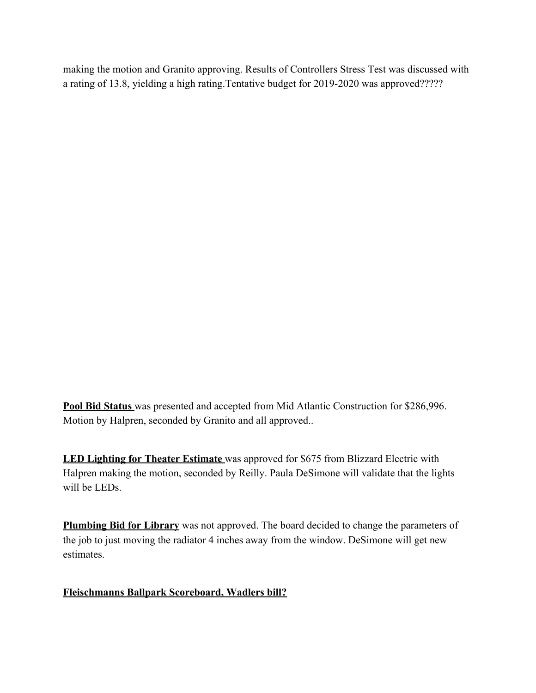making the motion and Granito approving. Results of Controllers Stress Test was discussed with a rating of 13.8, yielding a high rating.Tentative budget for 2019-2020 was approved?????

**Pool Bid Status** was presented and accepted from Mid Atlantic Construction for \$286,996. Motion by Halpren, seconded by Granito and all approved..

**LED Lighting for Theater Estimate** was approved for \$675 from Blizzard Electric with Halpren making the motion, seconded by Reilly. Paula DeSimone will validate that the lights will be LEDs.

**Plumbing Bid for Library** was not approved. The board decided to change the parameters of the job to just moving the radiator 4 inches away from the window. DeSimone will get new estimates.

### **Fleischmanns Ballpark Scoreboard, Wadlers bill?**